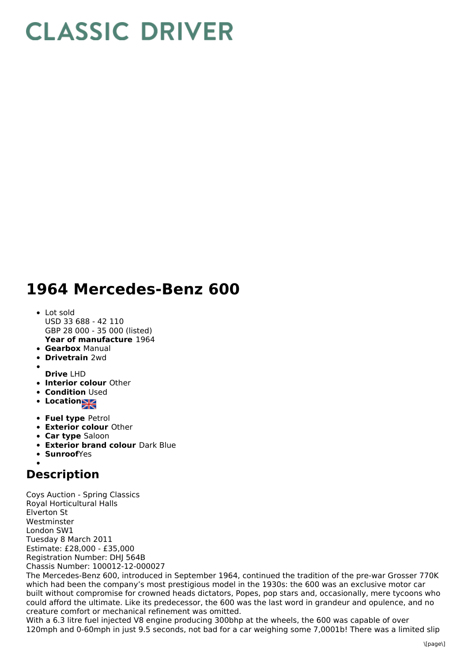## **CLASSIC DRIVER**

## **1964 Mercedes-Benz 600**

- **Year of manufacture** 1964 • Lot sold USD 33 688 - 42 110 GBP 28 000 - 35 000 (listed)
- **Gearbox** Manual
- **Drivetrain** 2wd
- 
- **Drive** LHD
- **Interior colour** Other
- **Condition Used**
- **Location**
- **Fuel type** Petrol
- **Exterior colour** Other
- **Car type** Saloon
- **Exterior brand colour** Dark Blue
- **Sunroof**Yes

## **Description**

Coys Auction - Spring Classics Royal Horticultural Halls Elverton St Westminster London SW1 Tuesday 8 March 2011 Estimate: £28,000 - £35,000 Registration Number: DHJ 564B Chassis Number: 100012-12-000027

The Mercedes-Benz 600, introduced in September 1964, continued the tradition of the pre-war Grosser 770K which had been the company's most prestigious model in the 1930s: the 600 was an exclusive motor car built without compromise for crowned heads dictators, Popes, pop stars and, occasionally, mere tycoons who could afford the ultimate. Like its predecessor, the 600 was the last word in grandeur and opulence, and no creature comfort or mechanical refinement was omitted.

With a 6.3 litre fuel injected V8 engine producing 300bhp at the wheels, the 600 was capable of over 120mph and 0-60mph in just 9.5 seconds, not bad for a car weighing some 7,0001b! There was a limited slip